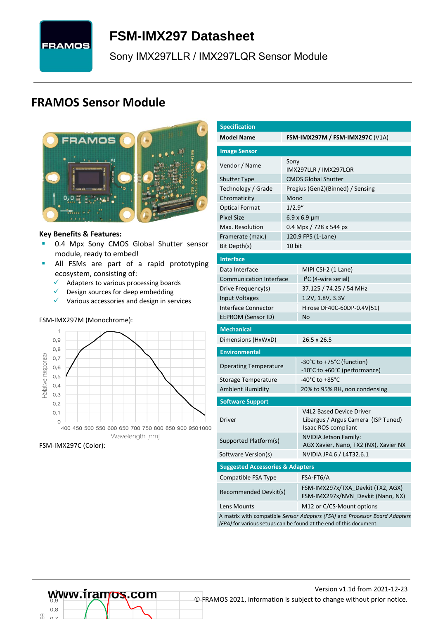# **FRAMOS**

# <span id="page-0-7"></span>**FSM-IMX297 [Datasheet](#page-0-0)**

<span id="page-0-3"></span>[Sony](#page-0-1) [IMX297LLR / IMX297LQR](#page-0-2) Sensor Module

# **FRAMOS Sensor Module**



#### **Key Benefits & Features:**

- **[0.4](#page-0-4) Mpx [Sony](#page-0-1) [CMOS Global Shutter](#page-0-5) sensor** module, ready to embed!
- **E** All FSMs are part of a rapid prototyping ecosystem, consisting of:
	- $\checkmark$  Adapters to various processing boards<br> $\checkmark$  Design sources for deen embedding
	- Design sources for deep embedding
	- ✓ Various accessories and design in services

#### FSM-IMX297M (Monochrome):



#### FSM-IMX297C (Color):

<span id="page-0-6"></span><span id="page-0-5"></span><span id="page-0-4"></span><span id="page-0-2"></span><span id="page-0-1"></span><span id="page-0-0"></span>

| <b>Specification</b>                        |         |                                                                                                                                                   |  |  |  |  |  |
|---------------------------------------------|---------|---------------------------------------------------------------------------------------------------------------------------------------------------|--|--|--|--|--|
| <b>Model Name</b>                           |         | <b>FSM-IMX297M / FSM-IMX297C (V1A)</b>                                                                                                            |  |  |  |  |  |
| <b>Image Sensor</b>                         |         |                                                                                                                                                   |  |  |  |  |  |
| Vendor / Name                               | Sony    | IMX297LLR / IMX297LQR                                                                                                                             |  |  |  |  |  |
| <b>Shutter Type</b>                         |         | <b>CMOS Global Shutter</b>                                                                                                                        |  |  |  |  |  |
| Technology / Grade                          |         | Pregius (Gen2)(Binned) / Sensing                                                                                                                  |  |  |  |  |  |
| Chromaticity                                | Mono    |                                                                                                                                                   |  |  |  |  |  |
| <b>Optical Format</b>                       | 1/2.9'' |                                                                                                                                                   |  |  |  |  |  |
| <b>Pixel Size</b>                           |         | $6.9 \times 6.9 \mu m$                                                                                                                            |  |  |  |  |  |
| Max. Resolution                             |         | 0.4 Mpx / 728 x 544 px                                                                                                                            |  |  |  |  |  |
| Framerate (max.)                            |         | 120.9 FPS (1-Lane)                                                                                                                                |  |  |  |  |  |
| Bit Depth(s)                                | 10 bit  |                                                                                                                                                   |  |  |  |  |  |
| <b>Interface</b>                            |         |                                                                                                                                                   |  |  |  |  |  |
| Data Interface                              |         | MIPI CSI-2 (1 Lane)                                                                                                                               |  |  |  |  |  |
| <b>Communication Interface</b>              |         | $I2C$ (4-wire serial)                                                                                                                             |  |  |  |  |  |
| Drive Frequency(s)                          |         | 37.125 / 74.25 / 54 MHz                                                                                                                           |  |  |  |  |  |
| <b>Input Voltages</b>                       |         | 1.2V, 1.8V, 3.3V                                                                                                                                  |  |  |  |  |  |
| Interface Connector                         |         | Hirose DF40C-60DP-0.4V(51)                                                                                                                        |  |  |  |  |  |
| EEPROM (Sensor ID)                          |         | No                                                                                                                                                |  |  |  |  |  |
| <b>Mechanical</b>                           |         |                                                                                                                                                   |  |  |  |  |  |
| Dimensions (HxWxD)                          |         | 26.5 x 26.5                                                                                                                                       |  |  |  |  |  |
| <b>Environmental</b>                        |         |                                                                                                                                                   |  |  |  |  |  |
| <b>Operating Temperature</b>                |         | -30°C to +75°C (function)<br>-10°C to +60°C (performance)                                                                                         |  |  |  |  |  |
| Storage Temperature                         |         | -40°C to +85°C                                                                                                                                    |  |  |  |  |  |
| <b>Ambient Humidity</b>                     |         | 20% to 95% RH, non condensing                                                                                                                     |  |  |  |  |  |
| <b>Software Support</b>                     |         |                                                                                                                                                   |  |  |  |  |  |
| Driver                                      |         | V4L2 Based Device Driver<br>Libargus / Argus Camera (ISP Tuned)<br>Isaac ROS compliant                                                            |  |  |  |  |  |
| Supported Platform(s)                       |         | <b>NVIDIA Jetson Family:</b><br>AGX Xavier, Nano, TX2 (NX), Xavier NX                                                                             |  |  |  |  |  |
| Software Version(s)                         |         | NVIDIA JP4.6 / L4T32.6.1                                                                                                                          |  |  |  |  |  |
| <b>Suggested Accessories &amp; Adapters</b> |         |                                                                                                                                                   |  |  |  |  |  |
| Compatible FSA Type                         |         | FSA-FT6/A                                                                                                                                         |  |  |  |  |  |
| Recommended Devkit(s)                       |         | FSM-IMX297x/TXA Devkit (TX2, AGX)<br>FSM-IMX297x/NVN Devkit (Nano, NX)                                                                            |  |  |  |  |  |
| Lens Mounts                                 |         | M12 or C/CS-Mount options                                                                                                                         |  |  |  |  |  |
|                                             |         | A matrix with compatible Sensor Adapters (FSA) and Processor Board Adapters<br>(FPA) for various setups can be found at the end of this document. |  |  |  |  |  |

 $0.8$ œ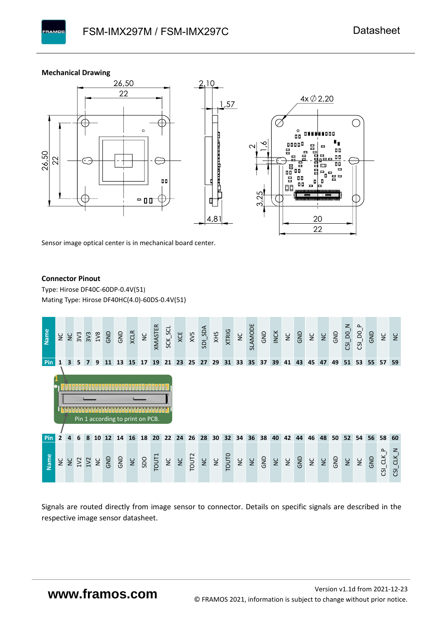#### **Mechanical Drawing**

**PAMOS** 



Sensor image optical center is in mechanical board center.

#### **Connector Pinout**

Type: [Hirose DF40C-60DP-0.4V\(51](#page-0-6)[\)](#page-0-6)  Mating Type: Hirose DF40HC(4.0)-60DS-0.4V(51)



Signals are routed directly from image sensor to connector. Details on specific signals are described in the respective image sensor datasheet.

# **www.framos.com**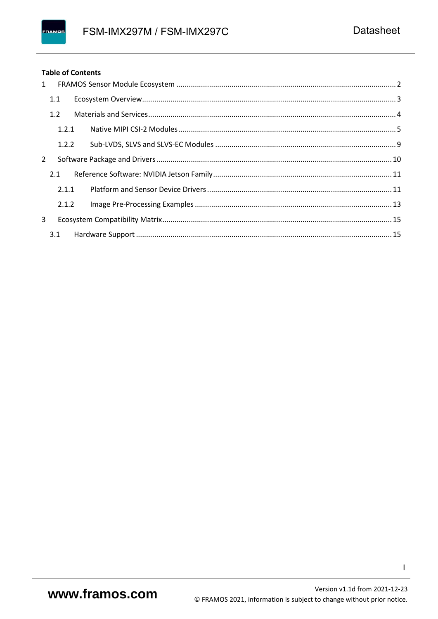#### FRAMOS

#### **Table of Contents**

| $\mathbf{1}$ |       |  |  |
|--------------|-------|--|--|
|              | 1.1   |  |  |
|              | 1.2   |  |  |
|              | 1.2.1 |  |  |
|              | 1.2.2 |  |  |
| 2            |       |  |  |
|              | 2.1   |  |  |
|              | 2.1.1 |  |  |
|              | 2.1.2 |  |  |
| 3            |       |  |  |
|              | 3.1   |  |  |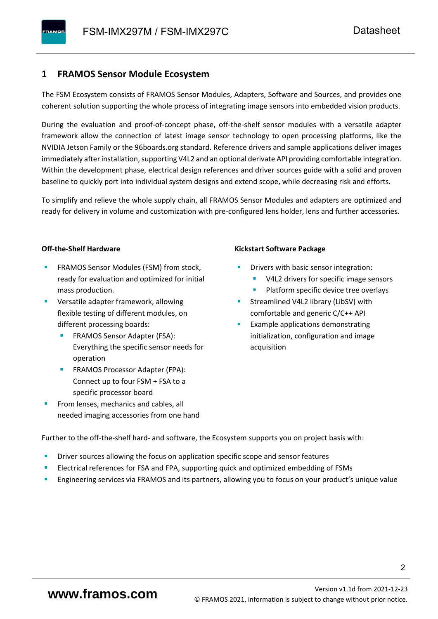# <span id="page-3-0"></span>**1 FRAMOS Sensor Module Ecosystem**

The FSM Ecosystem consists of FRAMOS Sensor Modules, Adapters, Software and Sources, and provides one coherent solution supporting the whole process of integrating image sensors into embedded vision products.

During the evaluation and proof-of-concept phase, off-the-shelf sensor modules with a versatile adapter framework allow the connection of latest image sensor technology to open processing platforms, like the NVIDIA Jetson Family or the 96boards.org standard. Reference drivers and sample applications deliver images immediately after installation, supporting V4L2 and an optional derivate API providing comfortable integration. Within the development phase, electrical design references and driver sources guide with a solid and proven baseline to quickly port into individual system designs and extend scope, while decreasing risk and efforts.

To simplify and relieve the whole supply chain, all FRAMOS Sensor Modules and adapters are optimized and ready for delivery in volume and customization with pre-configured lens holder, lens and further accessories.

#### **Off-the-Shelf Hardware**

- FRAMOS Sensor Modules (FSM) from stock, ready for evaluation and optimized for initial mass production.
- Versatile adapter framework, allowing flexible testing of different modules, on different processing boards:
	- FRAMOS Sensor Adapter (FSA): Everything the specific sensor needs for operation
	- FRAMOS Processor Adapter (FPA): Connect up to four FSM + FSA to a specific processor board
- From lenses, mechanics and cables, all needed imaging accessories from one hand

#### **Kickstart Software Package**

- Drivers with basic sensor integration:
	- V4L2 drivers for specific image sensors
	- Platform specific device tree overlays
- Streamlined V4L2 library (LibSV) with comfortable and generic C/C++ API
- Example applications demonstrating initialization, configuration and image acquisition

Further to the off-the-shelf hard- and software, the Ecosystem supports you on project basis with:

- Driver sources allowing the focus on application specific scope and sensor features
- Electrical references for FSA and FPA, supporting quick and optimized embedding of FSMs
- Engineering services via FRAMOS and its partners, allowing you to focus on your product's unique value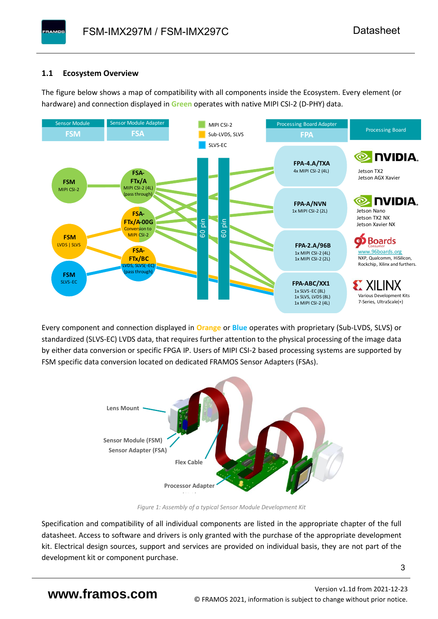### <span id="page-4-0"></span>**1.1 Ecosystem Overview**

**PAMOS** 

The figure below shows a map of compatibility with all components inside the Ecosystem. Every element (or hardware) and connection displayed in **Green** operates with native MIPI CSI-2 (D-PHY) data.



Every component and connection displayed in **Orange** or **Blue** operates with proprietary (Sub-LVDS, SLVS) or standardized (SLVS-EC) LVDS data, that requires further attention to the physical processing of the image data by either data conversion or specific FPGA IP. Users of MIPI CSI-2 based processing systems are supported by FSM specific data conversion located on dedicated FRAMOS Sensor Adapters (FSAs).



*Figure 1: Assembly of a typical Sensor Module Development Kit*

Specification and compatibility of all individual components are listed in the appropriate chapter of the full datasheet. Access to software and drivers is only granted with the purchase of the appropriate development kit. Electrical design sources, support and services are provided on individual basis, they are not part of the development kit or component purchase.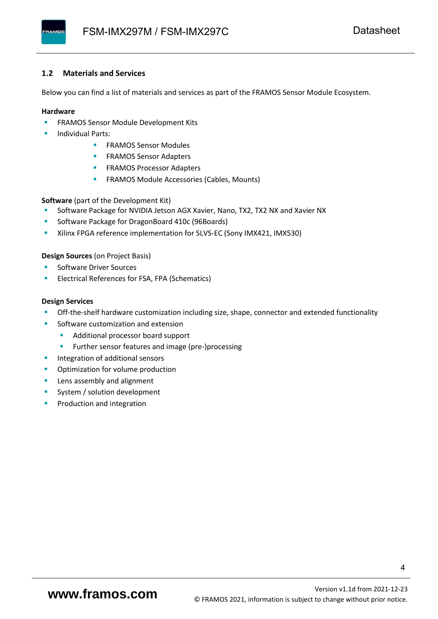#### <span id="page-5-0"></span>**1.2 Materials and Services**

Below you can find a list of materials and services as part of the FRAMOS Sensor Module Ecosystem.

#### **Hardware**

- **EXECTED FRAMOS Sensor Module Development Kits**
- **Individual Parts:** 
	- FRAMOS Sensor Modules
	- **FRAMOS Sensor Adapters**
	- **EXAMOS Processor Adapters**
	- **EXECTED** FRAMOS Module Accessories (Cables, Mounts)

**Software** (part of the Development Kit)

- Software Package for NVIDIA Jetson AGX Xavier, Nano, TX2, TX2 NX and Xavier NX
- Software Package for DragonBoard 410c (96Boards)
- **E** Xilinx FPGA reference implementation for SLVS-EC (Sony IMX421, IMX530)

#### **Design Sources** (on Project Basis)

- Software Driver Sources
- Electrical References for FSA, FPA (Schematics)

#### **Design Services**

- Off-the-shelf hardware customization including size, shape, connector and extended functionality
- Software customization and extension
	- Additional processor board support
	- Further sensor features and image (pre-)processing
- **■** Integration of additional sensors
- Optimization for volume production
- Lens assembly and alignment
- System / solution development
- Production and integration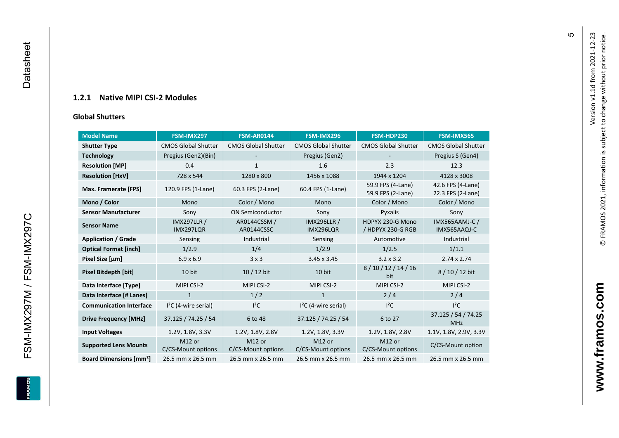### **1.2.1 Native MIPI CSI - 2 Modules**

#### **[Global Shu](#page-0-7)tters**

<span id="page-6-0"></span>

| <b>Model Name</b>                        | FSM-IMX297                      | <b>FSM-AR0144</b>            | FSM-IMX296                      | FSM-HDP230                             | FSM-IMX565                             |
|------------------------------------------|---------------------------------|------------------------------|---------------------------------|----------------------------------------|----------------------------------------|
| <b>Shutter Type</b>                      | <b>CMOS Global Shutter</b>      | <b>CMOS Global Shutter</b>   | <b>CMOS Global Shutter</b>      | <b>CMOS Global Shutter</b>             | <b>CMOS Global Shutter</b>             |
| <b>Technology</b>                        | Pregius (Gen2)(Bin)             |                              | Pregius (Gen2)                  |                                        | Pregius S (Gen4)                       |
| <b>Resolution [MP]</b>                   | 0.4                             | $\mathbf{1}$                 | 1.6                             | 2.3                                    | 12.3                                   |
| <b>Resolution [HxV]</b>                  | 728 x 544                       | 1280 x 800                   | 1456 x 1088                     | 1944 x 1204                            | 4128 x 3008                            |
| Max. Framerate [FPS]                     | 120.9 FPS (1-Lane)              | 60.3 FPS (2-Lane)            | 60.4 FPS (1-Lane)               | 59.9 FPS (4-Lane)<br>59.9 FPS (2-Lane) | 42.6 FPS (4-Lane)<br>22.3 FPS (2-Lane) |
| Mono / Color                             | Mono                            | Color / Mono                 | Mono                            | Color / Mono                           | Color / Mono                           |
| <b>Sensor Manufacturer</b>               | Sony                            | <b>ON Semiconductor</b>      | Sony                            | Pyxalis                                | Sony                                   |
| <b>Sensor Name</b>                       | <b>IMX297LLR /</b><br>IMX297LQR | AR0144CSSM /<br>AR0144CSSC   | <b>IMX296LLR /</b><br>IMX296LQR | HDPYX 230-G Mono<br>/ HDPYX 230-G RGB  | <b>IMX565AAMJ-C/</b><br>IMX565AAQJ-C   |
| <b>Application / Grade</b>               | Sensing                         | Industrial                   | Sensing                         | Automotive                             | Industrial                             |
| <b>Optical Format [inch]</b>             | 1/2.9                           | 1/4                          | 1/2.9                           | 1/2.5                                  | 1/1.1                                  |
| Pixel Size [µm]                          | $6.9 \times 6.9$                | 3x3                          | $3.45 \times 3.45$              | $3.2 \times 3.2$                       | $2.74 \times 2.74$                     |
| Pixel Bitdepth [bit]                     | 10 bit                          | $10/12$ bit                  | 10 bit                          | 8/10/12/14/16<br>bit                   | 8/10/12 bit                            |
| Data Interface [Type]                    | MIPI CSI-2                      | MIPI CSI-2                   | MIPI CSI-2                      | MIPI CSI-2                             | MIPI CSI-2                             |
| Data Interface [# Lanes]                 | $\mathbf{1}$                    | 1/2                          | $\mathbf{1}$                    | 2/4                                    | 2/4                                    |
| <b>Communication Interface</b>           | $I2C$ (4-wire serial)           | $I^2C$                       | $I2C$ (4-wire serial)           | $I^2C$                                 | $I^2C$                                 |
| <b>Drive Frequency [MHz]</b>             | 37.125 / 74.25 / 54             | 6 to 48                      | 37.125 / 74.25 / 54             | 6 to 27                                | 37.125 / 54 / 74.25<br><b>MHz</b>      |
| <b>Input Voltages</b>                    | 1.2V, 1.8V, 3.3V                | 1.2V, 1.8V, 2.8V             | 1.2V, 1.8V, 3.3V                | 1.2V, 1.8V, 2.8V                       | 1.1V, 1.8V, 2.9V, 3.3V                 |
| <b>Supported Lens Mounts</b>             | M12 or<br>C/CS-Mount options    | M12 or<br>C/CS-Mount options | M12 or<br>C/CS-Mount options    | M12 or<br>C/CS-Mount options           | C/CS-Mount option                      |
| <b>Board Dimensions [mm<sup>2</sup>]</b> | 26.5 mm x 26.5 mm               | 26.5 mm x 26.5 mm            | 26.5 mm x 26.5 mm               | 26.5 mm x 26.5 mm                      | 26.5 mm x 26.5 mm                      |

Version v1.1d from 2021-12-23

Version v1.1d from 2021-12-23

© FRAMOS 2021, information i[s su](mailto:sales@framos.de)bject to change without prior notice.

© FRAMOS 2021, information is subject to change without prior notice.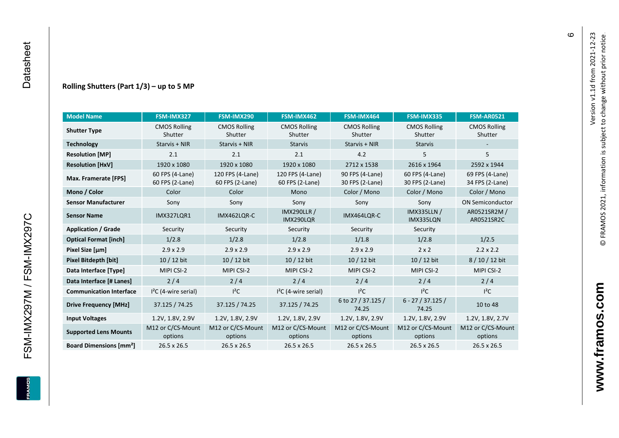FSM-IMX297M / FSM-IMX297C

**ERAMOS** 

#### **Rolling Shutters (Part 1/ 3 ) – up to 5 MP**

| <b>Model Name</b>                        | FSM-IMX327                         | FSM-IMX290                          | FSM-IMX462                          | FSM-IMX464                         | FSM-IMX335                         | <b>FSM-AR0521</b>                  |
|------------------------------------------|------------------------------------|-------------------------------------|-------------------------------------|------------------------------------|------------------------------------|------------------------------------|
| <b>Shutter Type</b>                      | <b>CMOS Rolling</b><br>Shutter     | <b>CMOS Rolling</b><br>Shutter      | <b>CMOS Rolling</b><br>Shutter      | <b>CMOS Rolling</b><br>Shutter     | <b>CMOS Rolling</b><br>Shutter     | <b>CMOS Rolling</b><br>Shutter     |
| <b>Technology</b>                        | Starvis + NIR                      | Starvis + NIR                       | <b>Starvis</b>                      | Starvis + NIR                      | <b>Starvis</b>                     |                                    |
| <b>Resolution [MP]</b>                   | 2.1                                | 2.1                                 | 2.1                                 | 4.2                                | 5                                  | 5                                  |
| <b>Resolution [HxV]</b>                  | 1920 x 1080                        | 1920 x 1080                         | 1920 x 1080                         | 2712 x 1538                        | 2616 x 1964                        | 2592 x 1944                        |
| Max. Framerate [FPS]                     | 60 FPS (4-Lane)<br>60 FPS (2-Lane) | 120 FPS (4-Lane)<br>60 FPS (2-Lane) | 120 FPS (4-Lane)<br>60 FPS (2-Lane) | 90 FPS (4-Lane)<br>30 FPS (2-Lane) | 60 FPS (4-Lane)<br>30 FPS (2-Lane) | 69 FPS (4-Lane)<br>34 FPS (2-Lane) |
| Mono / Color                             | Color                              | Color                               | Mono                                | Color / Mono                       | Color / Mono                       | Color / Mono                       |
| <b>Sensor Manufacturer</b>               | Sony                               | Sony                                | Sony                                | Sony                               | Sony                               | <b>ON Semiconductor</b>            |
| <b>Sensor Name</b>                       | <b>IMX327LQR1</b>                  | IMX462LQR-C                         | <b>IMX290LLR /</b><br>IMX290LQR     | IMX464LQR-C                        | <b>IMX335LLN /</b><br>IMX335LQN    | AR0521SR2M /<br>AR0521SR2C         |
| <b>Application / Grade</b>               | Security                           | Security                            | Security                            | Security                           | Security                           |                                    |
| <b>Optical Format [inch]</b>             | 1/2.8                              | 1/2.8                               | 1/2.8                               | 1/1.8                              | 1/2.8                              | 1/2.5                              |
| Pixel Size [µm]                          | $2.9 \times 2.9$                   | $2.9 \times 2.9$                    | $2.9 \times 2.9$                    | $2.9 \times 2.9$                   | $2 \times 2$                       | $2.2 \times 2.2$                   |
| <b>Pixel Bitdepth [bit]</b>              | 10 / 12 bit                        | 10 / 12 bit                         | 10 / 12 bit                         | 10 / 12 bit                        | 10 / 12 bit                        | 8 / 10 / 12 bit                    |
| Data Interface [Type]                    | MIPI CSI-2                         | MIPI CSI-2                          | MIPI CSI-2                          | MIPI CSI-2                         | MIPI CSI-2                         | MIPI CSI-2                         |
| Data Interface [# Lanes]                 | 2/4                                | 2/4                                 | 2/4                                 | 2/4                                | 2/4                                | 2/4                                |
| <b>Communication Interface</b>           | $I2C$ (4-wire serial)              | $l^2C$                              | $I2C$ (4-wire serial)               | $I^2C$                             | $I^2C$                             | $I^2C$                             |
| <b>Drive Frequency [MHz]</b>             | 37.125 / 74.25                     | 37.125 / 74.25                      | 37.125 / 74.25                      | 6 to 27 / 37.125 /<br>74.25        | $6 - 27 / 37.125 /$<br>74.25       | 10 to 48                           |
| <b>Input Voltages</b>                    | 1.2V, 1.8V, 2.9V                   | 1.2V, 1.8V, 2.9V                    | 1.2V, 1.8V, 2.9V                    | 1.2V, 1.8V, 2.9V                   | 1.2V, 1.8V, 2.9V                   | 1.2V, 1.8V, 2.7V                   |
| <b>Supported Lens Mounts</b>             | M12 or C/CS-Mount<br>options       | M12 or C/CS-Mount<br>options        | M12 or C/CS-Mount<br>options        | M12 or C/CS-Mount<br>options       | M12 or C/CS-Mount<br>options       | M12 or C/CS-Mount<br>options       |
| <b>Board Dimensions [mm<sup>2</sup>]</b> | $26.5 \times 26.5$                 | 26.5 x 26.5                         | 26.5 x 26.5                         | 26.5 x 26.5                        | 26.5 x 26.5                        | 26.5 x 26.5                        |

 $\pmb{\circ}$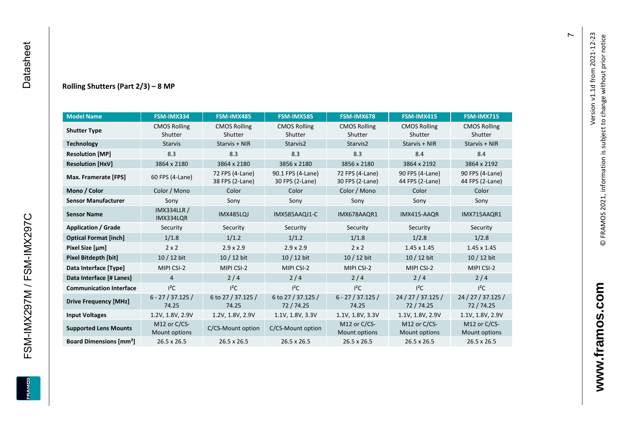#### **Rolling Shutters (Part 2/ 3 ) – 8 MP**

| <b>Model Name</b>                        | FSM-IMX334                      | FSM-IMX485                         | <b>FSM-IMX585</b>                    | FSM-IMX678                         | FSM-IMX415                         | <b>FSM-IMX715</b>                  |
|------------------------------------------|---------------------------------|------------------------------------|--------------------------------------|------------------------------------|------------------------------------|------------------------------------|
| <b>Shutter Type</b>                      | <b>CMOS Rolling</b>             | <b>CMOS Rolling</b>                | <b>CMOS Rolling</b>                  | <b>CMOS Rolling</b>                | <b>CMOS Rolling</b>                | <b>CMOS Rolling</b>                |
|                                          | Shutter                         | Shutter                            | Shutter                              | Shutter                            | Shutter                            | Shutter                            |
| <b>Technology</b>                        | <b>Starvis</b>                  | Starvis + NIR                      | Starvis2                             | Starvis2                           | Starvis + NIR                      | Starvis + NIR                      |
| <b>Resolution [MP]</b>                   | 8.3                             | 8.3                                | 8.3                                  | 8.3                                | 8.4                                | 8.4                                |
| <b>Resolution [HxV]</b>                  | 3864 x 2180                     | 3864 x 2180                        | 3856 x 2180                          | 3856 x 2180                        | 3864 x 2192                        | 3864 x 2192                        |
| Max. Framerate [FPS]                     | 60 FPS (4-Lane)                 | 72 FPS (4-Lane)<br>38 FPS (2-Lane) | 90.1 FPS (4-Lane)<br>30 FPS (2-Lane) | 72 FPS (4-Lane)<br>30 FPS (2-Lane) | 90 FPS (4-Lane)<br>44 FPS (2-Lane) | 90 FPS (4-Lane)<br>44 FPS (2-Lane) |
| Mono / Color                             | Color / Mono                    | Color                              | Color                                | Color / Mono                       | Color                              | Color                              |
| <b>Sensor Manufacturer</b>               | Sony                            | Sony                               | Sony                                 | Sony                               | Sony                               | Sony                               |
| <b>Sensor Name</b>                       | <b>IMX334LLR /</b><br>IMX334LQR | <b>IMX485LQJ</b>                   | IMX585AAQJ1-C                        | IMX678AAQR1                        | IMX415-AAQR                        | IMX715AAQR1                        |
| <b>Application / Grade</b>               | Security                        | Security                           | Security                             | Security                           | Security                           | Security                           |
| <b>Optical Format [inch]</b>             | 1/1.8                           | 1/1.2                              | 1/1.2                                | 1/1.8                              | 1/2.8                              | 1/2.8                              |
| Pixel Size [µm]                          | $2 \times 2$                    | $2.9 \times 2.9$                   | $2.9 \times 2.9$                     | $2 \times 2$                       | $1.45 \times 1.45$                 | $1.45 \times 1.45$                 |
| <b>Pixel Bitdepth [bit]</b>              | 10 / 12 bit                     | 10 / 12 bit                        | 10 / 12 bit                          | 10 / 12 bit                        | 10 / 12 bit                        | $10/12$ bit                        |
| Data Interface [Type]                    | MIPI CSI-2                      | MIPI CSI-2                         | MIPI CSI-2                           | MIPI CSI-2                         | MIPI CSI-2                         | MIPI CSI-2                         |
| Data Interface [# Lanes]                 | $\overline{4}$                  | 2/4                                | 2/4                                  | 2/4                                | 2/4                                | 2/4                                |
| <b>Communication Interface</b>           | $I^2C$                          | $I^2C$                             | $I^2C$                               | $I^2C$                             | $I^2C$                             | $I^2C$                             |
| <b>Drive Frequency [MHz]</b>             | $6 - 27 / 37.125 /$<br>74.25    | 6 to 27 / 37.125 /<br>74.25        | 6 to 27 / 37.125 /<br>72/74.25       | $6 - 27 / 37.125 /$<br>74.25       | 24 / 27 / 37.125 /<br>72/74.25     | 24 / 27 / 37.125 /<br>72 / 74.25   |
| <b>Input Voltages</b>                    | 1.2V, 1.8V, 2.9V                | 1.2V, 1.8V, 2.9V                   | 1.1V, 1.8V, 3.3V                     | 1.1V, 1.8V, 3.3V                   | 1.1V, 1.8V, 2.9V                   | 1.1V, 1.8V, 2.9V                   |
| <b>Supported Lens Mounts</b>             | M12 or C/CS-<br>Mount options   | C/CS-Mount option                  | C/CS-Mount option                    | M12 or $C/CS$ -<br>Mount options   | M12 or C/CS-<br>Mount options      | M12 or C/CS-<br>Mount options      |
| <b>Board Dimensions [mm<sup>2</sup>]</b> | 26.5 x 26.5                     | $26.5 \times 26.5$                 | $26.5 \times 26.5$                   | 26.5 x 26.5                        | $26.5 \times 26.5$                 | $26.5 \times 26.5$                 |

FSM-IMX297M / FSM-IMX297C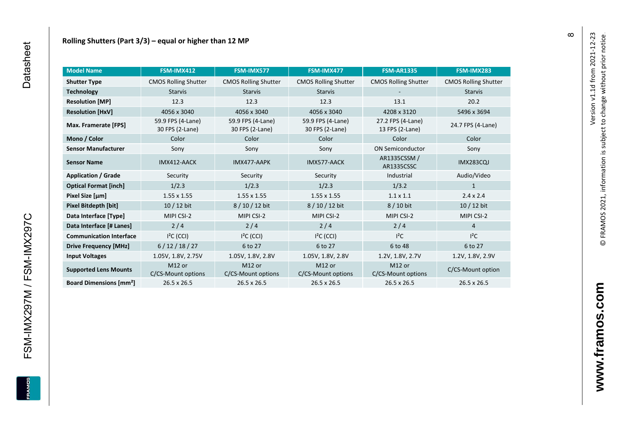| <b>Model Name</b>                        | FSM-IMX412                           | FSM-IMX577                           | FSM-IMX477                               | <b>FSM-AR1335</b>                    | FSM-IMX283                  |
|------------------------------------------|--------------------------------------|--------------------------------------|------------------------------------------|--------------------------------------|-----------------------------|
| <b>Shutter Type</b>                      | <b>CMOS Rolling Shutter</b>          | <b>CMOS Rolling Shutter</b>          | <b>CMOS Rolling Shutter</b>              | <b>CMOS Rolling Shutter</b>          | <b>CMOS Rolling Shutter</b> |
| <b>Technology</b>                        | <b>Starvis</b>                       | <b>Starvis</b>                       | <b>Starvis</b>                           |                                      | <b>Starvis</b>              |
| <b>Resolution [MP]</b>                   | 12.3                                 | 12.3                                 | 12.3                                     | 13.1                                 | 20.2                        |
| <b>Resolution [HxV]</b>                  | 4056 x 3040                          | 4056 x 3040                          | 4056 x 3040                              | 4208 x 3120                          | 5496 x 3694                 |
| Max. Framerate [FPS]                     | 59.9 FPS (4-Lane)<br>30 FPS (2-Lane) | 59.9 FPS (4-Lane)<br>30 FPS (2-Lane) | 59.9 FPS (4-Lane)<br>30 FPS (2-Lane)     | 27.2 FPS (4-Lane)<br>13 FPS (2-Lane) | 24.7 FPS (4-Lane)           |
| Mono / Color                             | Color                                | Color                                | Color                                    | Color                                | Color                       |
| <b>Sensor Manufacturer</b>               | Sony                                 | Sony                                 | Sony                                     | <b>ON Semiconductor</b>              | Sony                        |
| <b>Sensor Name</b>                       | IMX412-AACK                          | IMX477-AAPK                          | IMX577-AACK                              | AR1335CSSM /<br>AR1335CSSC           | <b>IMX283CQJ</b>            |
| <b>Application / Grade</b>               | Security                             | Security                             | Security                                 | Industrial                           | Audio/Video                 |
| <b>Optical Format [inch]</b>             | 1/2.3                                | 1/2.3                                | 1/2.3                                    | 1/3.2                                | 1                           |
| Pixel Size [µm]                          | $1.55 \times 1.55$                   | $1.55 \times 1.55$                   | $1.55 \times 1.55$                       | $1.1 \times 1.1$                     | $2.4 \times 2.4$            |
| Pixel Bitdepth [bit]                     | $10/12$ bit                          | 8/10/12 bit                          | 8/10/12 bit                              | 8 / 10 bit                           | 10 / 12 bit                 |
| Data Interface [Type]                    | MIPI CSI-2                           | MIPI CSI-2                           | MIPI CSI-2                               | MIPI CSI-2                           | MIPI CSI-2                  |
| Data Interface [# Lanes]                 | 2/4                                  | 2/4                                  | 2/4                                      | 2/4                                  | $\overline{4}$              |
| <b>Communication Interface</b>           | $I2C$ (CCI)                          | $I2C$ (CCI)                          | $I2C$ (CCI)                              | $l^2C$                               | $I^2C$                      |
| <b>Drive Frequency [MHz]</b>             | 6/12/18/27                           | 6 to 27                              | 6 to 27                                  | 6 to 48                              | 6 to 27                     |
| <b>Input Voltages</b>                    | 1.05V, 1.8V, 2.75V                   | 1.05V, 1.8V, 2.8V                    | 1.05V, 1.8V, 2.8V                        | 1.2V, 1.8V, 2.7V                     | 1.2V, 1.8V, 2.9V            |
| <b>Supported Lens Mounts</b>             | M12 or<br>C/CS-Mount options         | M12 or<br>C/CS-Mount options         | M <sub>12</sub> or<br>C/CS-Mount options | M12 or<br>C/CS-Mount options         | C/CS-Mount option           |
| <b>Board Dimensions [mm<sup>2</sup>]</b> | 26.5 x 26.5                          | 26.5 x 26.5                          | 26.5 x 26.5                              | 26.5 x 26.5                          | 26.5 x 26.5                 |

 $\infty$ 

FSM-IMX297M / FSM-IMX297C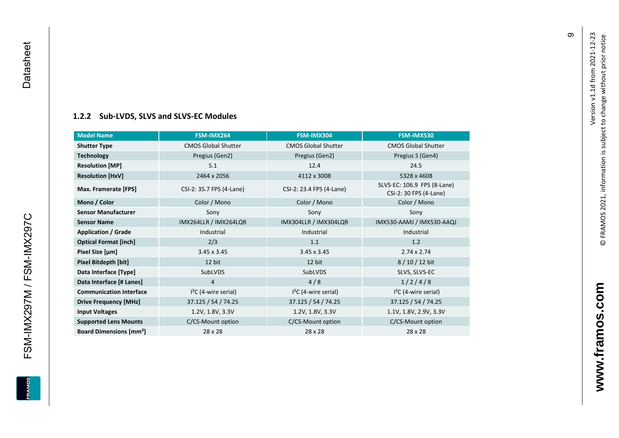# **[1.2.2](#page-0-7) Sub -LVDS, SLVS and SLVS -EC Modules**

| <b>Model Name</b>                        | FSM-IMX264                 | FSM-IMX304                 | FSM-IMX530                                            |
|------------------------------------------|----------------------------|----------------------------|-------------------------------------------------------|
| <b>Shutter Type</b>                      | <b>CMOS Global Shutter</b> | <b>CMOS Global Shutter</b> | <b>CMOS Global Shutter</b>                            |
| <b>Technology</b>                        | Pregius (Gen2)             | Pregius (Gen2)             | Pregius S (Gen4)                                      |
| <b>Resolution [MP]</b>                   | 5.1                        | 12.4                       | 24.5                                                  |
| <b>Resolution [HxV]</b>                  | 2464 x 2056                | 4112 x 3008                | 5328 x 4608                                           |
| Max. Framerate [FPS]                     | CSI-2: 35.7 FPS (4-Lane)   | CSI-2: 23.4 FPS (4-Lane)   | SLVS-EC: 106.9 FPS (8-Lane)<br>CSI-2: 30 FPS (4-Lane) |
| Mono / Color                             | Color / Mono               | Color / Mono               | Color / Mono                                          |
| <b>Sensor Manufacturer</b>               | Sony                       | Sony                       | Sony                                                  |
| <b>Sensor Name</b>                       | IMX264LLR / IMX264LQR      | IMX304LLR / IMX304LQR      | IMX530-AAMJ / IMX530-AAQJ                             |
| <b>Application / Grade</b>               | Industrial                 | Industrial                 | Industrial                                            |
| <b>Optical Format [inch]</b>             | 2/3                        | 1.1                        | 1.2                                                   |
| Pixel Size [µm]                          | $3.45 \times 3.45$         | $3.45 \times 3.45$         | $2.74 \times 2.74$                                    |
| Pixel Bitdepth [bit]                     | 12 bit                     | 12 bit                     | 8/10/12 bit                                           |
| Data Interface [Type]                    | SubLVDS                    | SubLVDS                    | SLVS, SLVS-EC                                         |
| Data Interface [# Lanes]                 | 4                          | 4/8                        | 1/2/4/8                                               |
| <b>Communication Interface</b>           | $I2C$ (4-wire serial)      | $I2C$ (4-wire serial)      | $I2C$ (4-wire serial)                                 |
| <b>Drive Frequency [MHz]</b>             | 37.125 / 54 / 74.25        | 37.125 / 54 / 74.25        | 37.125 / 54 / 74.25                                   |
| <b>Input Voltages</b>                    | 1.2V, 1.8V, 3.3V           | 1.2V, 1.8V, 3.3V           | 1.1V, 1.8V, 2.9V, 3.3V                                |
| <b>Supported Lens Mounts</b>             | C/CS-Mount option          | C/CS-Mount option          | C/CS-Mount option                                     |
| <b>Board Dimensions [mm<sup>2</sup>]</b> | $28 \times 28$             | 28 x 28                    | 28 x 28                                               |

<span id="page-10-0"></span>FSM-IMX297M / FSM-IMX297C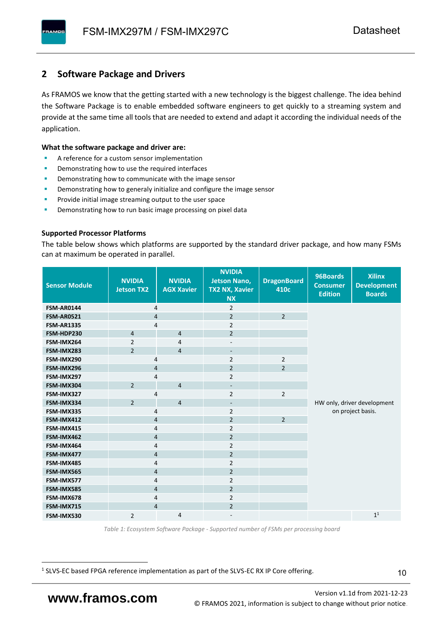# <span id="page-11-0"></span>**2 Software Package and Drivers**

As FRAMOS we know that the getting started with a new technology is the biggest challenge. The idea behind the Software Package is to enable embedded software engineers to get quickly to a streaming system and provide at the same time all tools that are needed to extend and adapt it according the individual needs of the application.

#### **What the software package and driver are:**

- A reference for a custom sensor implementation
- Demonstrating how to use the required interfaces
- Demonstrating how to communicate with the image sensor
- Demonstrating how to generaly initialize and configure the image sensor
- Provide initial image streaming output to the user space
- Demonstrating how to run basic image processing on pixel data

#### **Supported Processor Platforms**

The table below shows which platforms are supported by the standard driver package, and how many FSMs can at maximum be operated in parallel.

| <b>Sensor Module</b> | <b>NVIDIA</b><br><b>Jetson TX2</b> | <b>NVIDIA</b><br><b>AGX Xavier</b> | <b>NVIDIA</b><br><b>Jetson Nano,</b><br><b>TX2 NX, Xavier</b><br><b>NX</b> | <b>DragonBoard</b><br>410c | 96Boards<br><b>Consumer</b><br><b>Edition</b> | <b>Xilinx</b><br><b>Development</b><br><b>Boards</b> |  |
|----------------------|------------------------------------|------------------------------------|----------------------------------------------------------------------------|----------------------------|-----------------------------------------------|------------------------------------------------------|--|
| <b>FSM-AR0144</b>    | $\overline{4}$                     |                                    | $\overline{2}$                                                             |                            |                                               |                                                      |  |
| <b>FSM-AR0521</b>    | $\overline{4}$                     |                                    | $\overline{2}$                                                             | $\overline{2}$             |                                               |                                                      |  |
| <b>FSM-AR1335</b>    | 4                                  |                                    | $\overline{2}$                                                             |                            |                                               |                                                      |  |
| FSM-HDP230           | $\overline{4}$                     | $\overline{4}$                     | $\overline{2}$                                                             |                            |                                               |                                                      |  |
| FSM-IMX264           | $\overline{2}$                     | $\overline{4}$                     | $\overline{\phantom{a}}$                                                   |                            |                                               |                                                      |  |
| FSM-IMX283           | $\overline{2}$                     | $\overline{4}$                     | $\overline{\phantom{a}}$                                                   |                            |                                               |                                                      |  |
| FSM-IMX290           | 4                                  |                                    | $\overline{2}$                                                             | $\overline{2}$             |                                               |                                                      |  |
| FSM-IMX296           | 4                                  |                                    | $\overline{2}$                                                             | $\overline{2}$             |                                               |                                                      |  |
| FSM-IMX297           | 4                                  |                                    | $\overline{2}$                                                             |                            |                                               |                                                      |  |
| FSM-IMX304           | $\overline{2}$                     | $\overline{4}$                     | $\overline{\phantom{a}}$                                                   |                            |                                               |                                                      |  |
| FSM-IMX327           | 4                                  |                                    | $\overline{2}$                                                             | $\overline{2}$             |                                               |                                                      |  |
| FSM-IMX334           | $\overline{2}$                     | $\overline{4}$                     | $\overline{\phantom{0}}$                                                   |                            |                                               | HW only, driver development                          |  |
| FSM-IMX335           | 4                                  |                                    | $\overline{2}$                                                             |                            | on project basis.                             |                                                      |  |
| FSM-IMX412           | $\overline{4}$                     |                                    | $\overline{2}$                                                             | $\overline{2}$             |                                               |                                                      |  |
| FSM-IMX415           | $\overline{4}$                     |                                    | $\overline{2}$                                                             |                            |                                               |                                                      |  |
| FSM-IMX462           | $\overline{4}$                     |                                    | $\overline{2}$                                                             |                            |                                               |                                                      |  |
| FSM-IMX464           | 4                                  |                                    | $\overline{2}$                                                             |                            |                                               |                                                      |  |
| FSM-IMX477           | 4                                  |                                    | $\overline{2}$                                                             |                            |                                               |                                                      |  |
| FSM-IMX485           | 4                                  |                                    | $\overline{2}$                                                             |                            |                                               |                                                      |  |
| FSM-IMX565           | $\overline{4}$                     |                                    | $\overline{2}$                                                             |                            |                                               |                                                      |  |
| FSM-IMX577           | $\overline{4}$                     |                                    | $\overline{2}$                                                             |                            |                                               |                                                      |  |
| FSM-IMX585           | $\overline{4}$                     |                                    | $\overline{2}$                                                             |                            |                                               |                                                      |  |
| FSM-IMX678           | 4                                  |                                    | $\overline{2}$                                                             |                            |                                               |                                                      |  |
| FSM-IMX715           | $\overline{4}$                     |                                    | $\overline{2}$                                                             |                            |                                               |                                                      |  |
| FSM-IMX530           | $\overline{2}$                     | $\overline{4}$                     |                                                                            |                            |                                               | 1 <sup>1</sup>                                       |  |

*Table 1: Ecosystem Software Package - Supported number of FSMs per processing board*

<sup>1</sup> SLVS-EC based FPGA reference implementation as part of the SLVS-EC RX IP Core offering.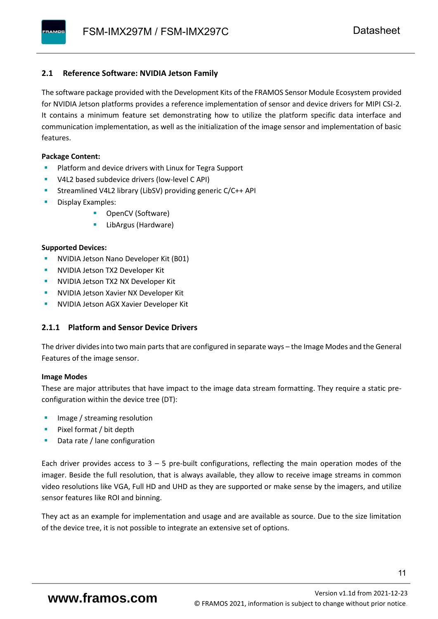### <span id="page-12-0"></span>**2.1 Reference Software: NVIDIA Jetson Family**

The software package provided with the Development Kits of the FRAMOS Sensor Module Ecosystem provided for NVIDIA Jetson platforms provides a reference implementation of sensor and device drivers for MIPI CSI-2. It contains a minimum feature set demonstrating how to utilize the platform specific data interface and communication implementation, as well as the initialization of the image sensor and implementation of basic features.

#### **Package Content:**

- Platform and device drivers with Linux for Tegra Support
- V4L2 based subdevice drivers (low-level C API)
- Streamlined V4L2 library (LibSV) providing generic C/C++ API
- Display Examples:
	- OpenCV (Software)
	- LibArgus (Hardware)

#### **Supported Devices:**

- NVIDIA Jetson Nano Developer Kit (B01)
- **NVIDIA Jetson TX2 Developer Kit**
- NVIDIA Jetson TX2 NX Developer Kit
- **NVIDIA Jetson Xavier NX Developer Kit**
- **NVIDIA Jetson AGX Xavier Developer Kit**

# <span id="page-12-1"></span>**2.1.1 Platform and Sensor Device Drivers**

The driver divides into two main parts that are configured in separate ways – the Image Modes and the General Features of the image sensor.

#### **Image Modes**

These are major attributes that have impact to the image data stream formatting. They require a static preconfiguration within the device tree (DT):

- Image / streaming resolution
- Pixel format / bit depth
- Data rate / lane configuration

Each driver provides access to  $3 - 5$  pre-built configurations, reflecting the main operation modes of the imager. Beside the full resolution, that is always available, they allow to receive image streams in common video resolutions like VGA, Full HD and UHD as they are supported or make sense by the imagers, and utilize sensor features like ROI and binning.

They act as an example for implementation and usage and are available as source. Due to the size limitation of the device tree, it is not possible to integrate an extensive set of options.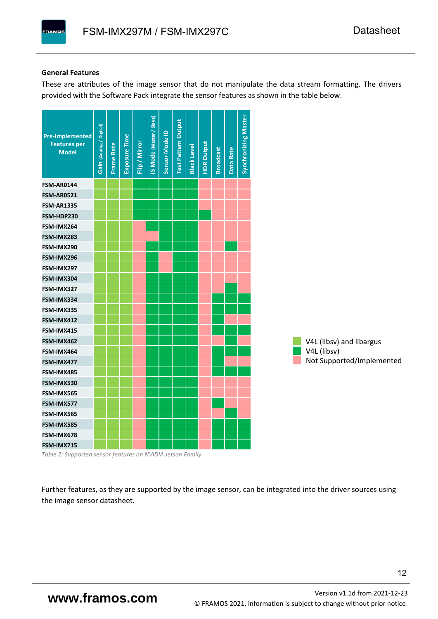#### **General Features**

**PAMOS** 

These are attributes of the image sensor that do not manipulate the data stream formatting. The drivers provided with the Software Pack integrate the sensor features as shown in the table below.



*Table 2: Supported sensor features on NVIDIA Jetson Family*

Further features, as they are supported by the image sensor, can be integrated into the driver sources using the image sensor datasheet.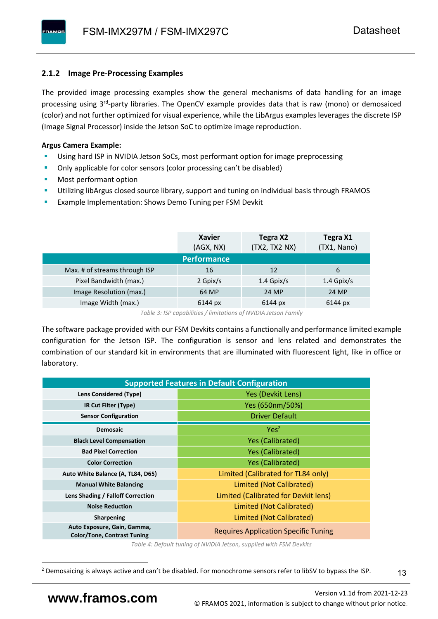# <span id="page-14-0"></span>**2.1.2 Image Pre-Processing Examples**

The provided image processing examples show the general mechanisms of data handling for an image processing using 3<sup>rd</sup>-party libraries. The OpenCV example provides data that is raw (mono) or demosaiced (color) and not further optimized for visual experience, while the LibArgus examples leverages the discrete ISP (Image Signal Processor) inside the Jetson SoC to optimize image reproduction.

# **Argus Camera Example:**

- Using hard ISP in NVIDIA Jetson SoCs, most performant option for image preprocessing
- Only applicable for color sensors (color processing can't be disabled)
- Most performant option
- Utilizing libArgus closed source library, support and tuning on individual basis through FRAMOS
- Example Implementation: Shows Demo Tuning per FSM Devkit

|                               | <b>Xavier</b><br>(AGX, NX) | Tegra X2<br>(TX2, TX2 NX) | Tegra X1<br>(TX1, Nano) |
|-------------------------------|----------------------------|---------------------------|-------------------------|
|                               | <b>Performance</b>         |                           |                         |
| Max. # of streams through ISP | 16                         | 12                        | 6                       |
| Pixel Bandwidth (max.)        | 2 Gpix/s                   | $1.4$ Gpix/s              | $1.4$ Gpix/s            |
| Image Resolution (max.)       | 64 MP                      | 24 MP                     | 24 MP                   |
| Image Width (max.)            | 6144 px                    | 6144 px                   | 6144 px                 |

*Table 3: ISP capabilities / limitations of NVIDIA Jetson Family*

The software package provided with our FSM Devkits contains a functionally and performance limited example configuration for the Jetson ISP. The configuration is sensor and lens related and demonstrates the combination of our standard kit in environments that are illuminated with fluorescent light, like in office or laboratory.

|                                                                   | <b>Supported Features in Default Configuration</b> |  |  |  |  |  |
|-------------------------------------------------------------------|----------------------------------------------------|--|--|--|--|--|
| <b>Lens Considered (Type)</b>                                     | Yes (Devkit Lens)                                  |  |  |  |  |  |
| IR Cut Filter (Type)                                              | Yes (650nm/50%)                                    |  |  |  |  |  |
| <b>Sensor Configuration</b>                                       | <b>Driver Default</b>                              |  |  |  |  |  |
| <b>Demosaic</b>                                                   | Yes <sup>2</sup>                                   |  |  |  |  |  |
| <b>Black Level Compensation</b>                                   | <b>Yes (Calibrated)</b>                            |  |  |  |  |  |
| <b>Bad Pixel Correction</b>                                       | <b>Yes (Calibrated)</b>                            |  |  |  |  |  |
| <b>Color Correction</b>                                           | <b>Yes (Calibrated)</b>                            |  |  |  |  |  |
| Auto White Balance (A, TL84, D65)                                 | Limited (Calibrated for TL84 only)                 |  |  |  |  |  |
| <b>Manual White Balancing</b>                                     | Limited (Not Calibrated)                           |  |  |  |  |  |
| Lens Shading / Falloff Correction                                 | Limited (Calibrated for Devkit lens)               |  |  |  |  |  |
| <b>Noise Reduction</b>                                            | Limited (Not Calibrated)                           |  |  |  |  |  |
| <b>Sharpening</b>                                                 | Limited (Not Calibrated)                           |  |  |  |  |  |
| Auto Exposure, Gain, Gamma,<br><b>Color/Tone, Contrast Tuning</b> | <b>Requires Application Specific Tuning</b>        |  |  |  |  |  |

*Table 4: Default tuning of NVIDIA Jetson, supplied with FSM Devkits*

13

<sup>&</sup>lt;sup>2</sup> Demosaicing is always active and can't be disabled. For monochrome sensors refer to libSV to bypass the ISP.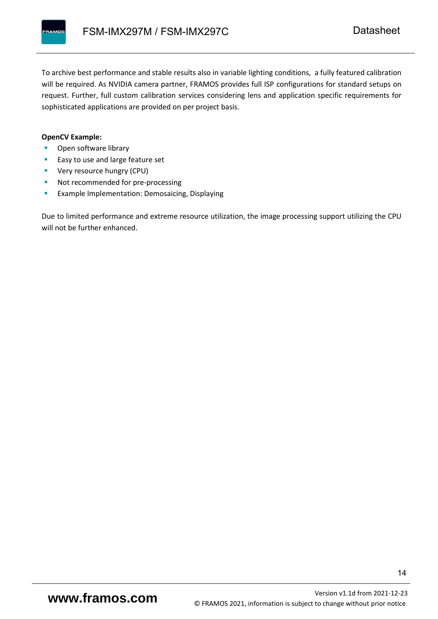To archive best performance and stable results also in variable lighting conditions, a fully featured calibration will be required. As NVIDIA camera partner, FRAMOS provides full ISP configurations for standard setups on request. Further, full custom calibration services considering lens and application specific requirements for sophisticated applications are provided on per project basis.

#### **OpenCV Example:**

- Open software library
- Easy to use and large feature set
- **•** Very resource hungry (CPU)
- Not recommended for pre-processing
- **Example Implementation: Demosaicing, Displaying**

Due to limited performance and extreme resource utilization, the image processing support utilizing the CPU will not be further enhanced.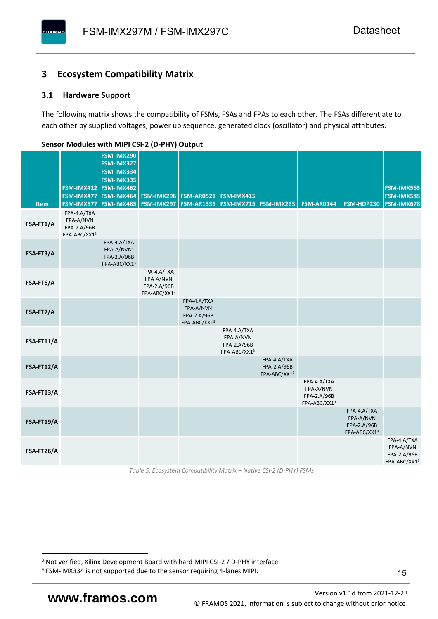# <span id="page-16-0"></span>**3 Ecosystem Compatibility Matrix**

### <span id="page-16-1"></span>**3.1 Hardware Support**

**PAMOS** 

The following matrix shows the compatibility of FSMs, FSAs and FPAs to each other. The FSAs differentiate to each other by supplied voltages, power up sequence, generated clock (oscillator) and physical attributes.

|            |                                                         | FSM-IMX290<br>FSM-IMX327                                             |                                                         |                                                         |                                                         |                                            |                                                         |                                                         |                                                         |
|------------|---------------------------------------------------------|----------------------------------------------------------------------|---------------------------------------------------------|---------------------------------------------------------|---------------------------------------------------------|--------------------------------------------|---------------------------------------------------------|---------------------------------------------------------|---------------------------------------------------------|
|            |                                                         | FSM-IMX334<br>FSM-IMX335                                             |                                                         |                                                         |                                                         |                                            |                                                         |                                                         |                                                         |
|            |                                                         | FSM-IMX412 FSM-IMX462<br>FSM-IMX477 FSM-IMX464                       |                                                         | <b>FSM-IMX296 FSM-AR0521</b>                            | FSM-IMX415                                              |                                            |                                                         |                                                         | FSM-IMX565<br><b>FSM-IMX585</b>                         |
| Item       | FSM-IMX577                                              | FSM-IMX485                                                           |                                                         | <b>FSM-IMX297   FSM-AR1335  </b>                        | <b>FSM-IMX715 FSM-IMX283</b>                            |                                            | <b>FSM-AR0144</b>                                       | FSM-HDP230                                              | <b>FSM-IMX678</b>                                       |
| FSA-FT1/A  | FPA-4.A/TXA<br>FPA-A/NVN<br>FPA-2.A/96B<br>FPA-ABC/XX13 |                                                                      |                                                         |                                                         |                                                         |                                            |                                                         |                                                         |                                                         |
| FSA-FT3/A  |                                                         | FPA-4.A/TXA<br>FPA-A/NVN <sup>4</sup><br>FPA-2.A/96B<br>FPA-ABC/XX13 |                                                         |                                                         |                                                         |                                            |                                                         |                                                         |                                                         |
| FSA-FT6/A  |                                                         |                                                                      | FPA-4.A/TXA<br>FPA-A/NVN<br>FPA-2.A/96B<br>FPA-ABC/XX13 |                                                         |                                                         |                                            |                                                         |                                                         |                                                         |
| FSA-FT7/A  |                                                         |                                                                      |                                                         | FPA-4.A/TXA<br>FPA-A/NVN<br>FPA-2.A/96B<br>FPA-ABC/XX13 |                                                         |                                            |                                                         |                                                         |                                                         |
| FSA-FT11/A |                                                         |                                                                      |                                                         |                                                         | FPA-4.A/TXA<br>FPA-A/NVN<br>FPA-2.A/96B<br>FPA-ABC/XX13 |                                            |                                                         |                                                         |                                                         |
| FSA-FT12/A |                                                         |                                                                      |                                                         |                                                         |                                                         | FPA-4.A/TXA<br>FPA-2.A/96B<br>FPA-ABC/XX13 |                                                         |                                                         |                                                         |
| FSA-FT13/A |                                                         |                                                                      |                                                         |                                                         |                                                         |                                            | FPA-4.A/TXA<br>FPA-A/NVN<br>FPA-2.A/96B<br>FPA-ABC/XX13 |                                                         |                                                         |
| FSA-FT19/A |                                                         |                                                                      |                                                         |                                                         |                                                         |                                            |                                                         | FPA-4.A/TXA<br>FPA-A/NVN<br>FPA-2.A/96B<br>FPA-ABC/XX13 |                                                         |
| FSA-FT26/A |                                                         |                                                                      |                                                         |                                                         |                                                         |                                            |                                                         |                                                         | FPA-4.A/TXA<br>FPA-A/NVN<br>FPA-2.A/96B<br>FPA-ABC/XX13 |

#### <span id="page-16-2"></span>**Sensor Modules with MIPI CSI-2 (D-PHY) Output**

*Table 5: Ecosystem Compatibility Matrix – Native CSI-2 (D-PHY) FSMs*

<sup>&</sup>lt;sup>3</sup> Not verified, Xilinx Development Board with hard MIPI CSI-2 / D-PHY interface.

<sup>4</sup> FSM-IMX334 is not supported due to the sensor requiring 4-lanes MIPI.